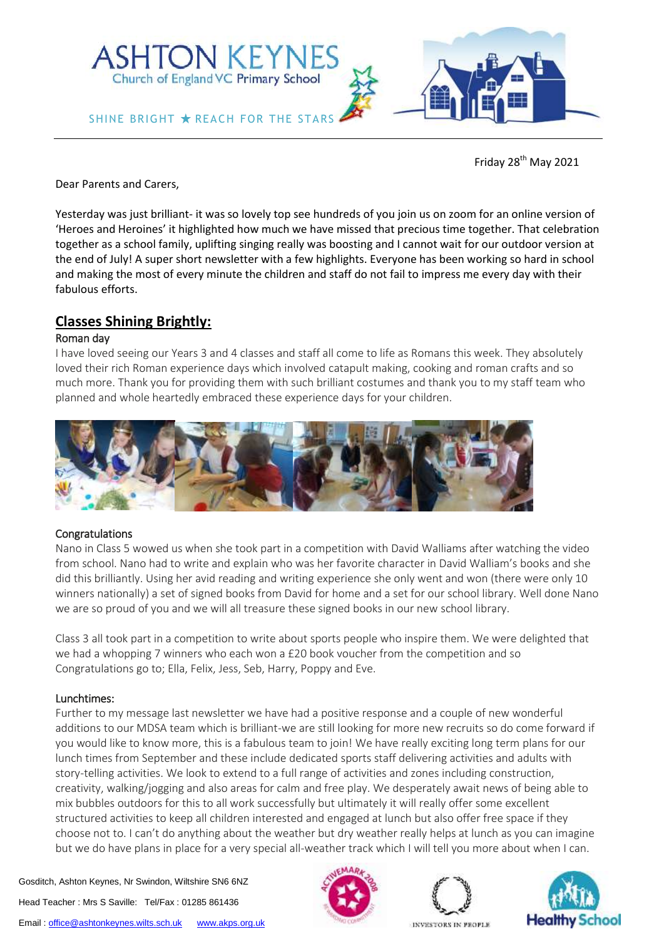

Friday 28<sup>th</sup> May 2021

Dear Parents and Carers,

Yesterday was just brilliant- it was so lovely top see hundreds of you join us on zoom for an online version of 'Heroes and Heroines' it highlighted how much we have missed that precious time together. That celebration together as a school family, uplifting singing really was boosting and I cannot wait for our outdoor version at the end of July! A super short newsletter with a few highlights. Everyone has been working so hard in school and making the most of every minute the children and staff do not fail to impress me every day with their fabulous efforts.

# **Classes Shining Brightly:**

#### Roman day

I have loved seeing our Years 3 and 4 classes and staff all come to life as Romans this week. They absolutely loved their rich Roman experience days which involved catapult making, cooking and roman crafts and so much more. Thank you for providing them with such brilliant costumes and thank you to my staff team who planned and whole heartedly embraced these experience days for your children.



#### Congratulations

Nano in Class 5 wowed us when she took part in a competition with David Walliams after watching the video from school. Nano had to write and explain who was her favorite character in David Walliam's books and she did this brilliantly. Using her avid reading and writing experience she only went and won (there were only 10 winners nationally) a set of signed books from David for home and a set for our school library. Well done Nano we are so proud of you and we will all treasure these signed books in our new school library.

Class 3 all took part in a competition to write about sports people who inspire them. We were delighted that we had a whopping 7 winners who each won a £20 book voucher from the competition and so Congratulations go to; Ella, Felix, Jess, Seb, Harry, Poppy and Eve.

## Lunchtimes:

Further to my message last newsletter we have had a positive response and a couple of new wonderful additions to our MDSA team which is brilliant-we are still looking for more new recruits so do come forward if you would like to know more, this is a fabulous team to join! We have really exciting long term plans for our lunch times from September and these include dedicated sports staff delivering activities and adults with story-telling activities. We look to extend to a full range of activities and zones including construction, creativity, walking/jogging and also areas for calm and free play. We desperately await news of being able to mix bubbles outdoors for this to all work successfully but ultimately it will really offer some excellent structured activities to keep all children interested and engaged at lunch but also offer free space if they choose not to. I can't do anything about the weather but dry weather really helps at lunch as you can imagine but we do have plans in place for a very special all-weather track which I will tell you more about when I can.

Gosditch, Ashton Keynes, Nr Swindon, Wiltshire SN6 6NZ Head Teacher : Mrs S Saville: Tel/Fax : 01285 861436 Email [: office@ashtonkeynes.wilts.sch.uk](mailto:office@ashtonkeynes.wilts.sch.uk) [www.akps.org.uk](http://www.akps.org.uk/)







INVESTORS IN PROPLE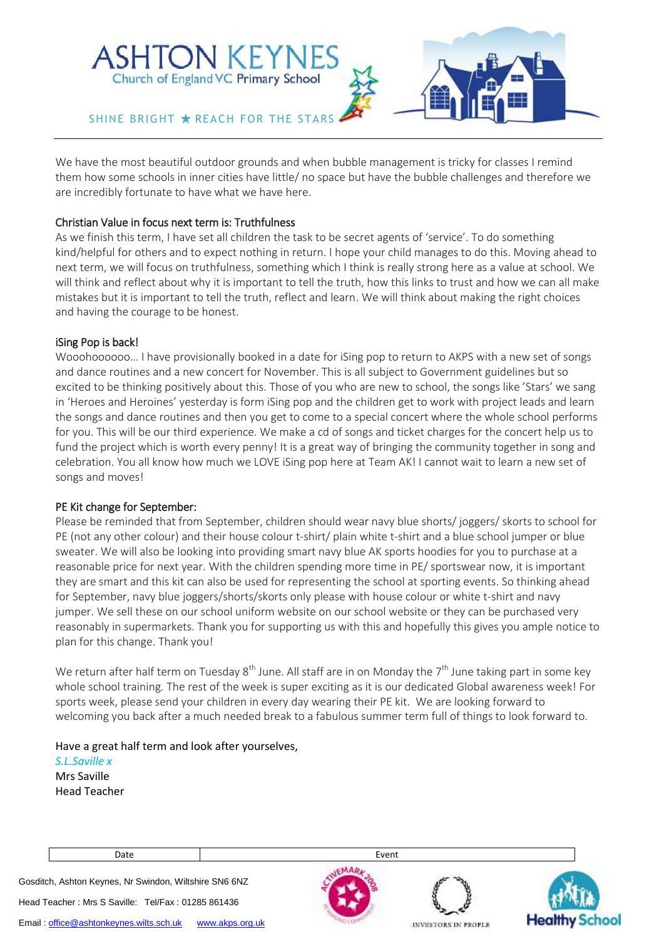

We have the most beautiful outdoor grounds and when bubble management is tricky for classes I remind them how some schools in inner cities have little/ no space but have the bubble challenges and therefore we are incredibly fortunate to have what we have here.

## Christian Value in focus next term is: Truthfulness

As we finish this term, I have set all children the task to be secret agents of 'service'. To do something kind/helpful for others and to expect nothing in return. I hope your child manages to do this. Moving ahead to next term, we will focus on truthfulness, something which I think is really strong here as a value at school. We will think and reflect about why it is important to tell the truth, how this links to trust and how we can all make mistakes but it is important to tell the truth, reflect and learn. We will think about making the right choices and having the courage to be honest.

## iSing Pop is back!

Wooohoooooo… I have provisionally booked in a date for iSing pop to return to AKPS with a new set of songs and dance routines and a new concert for November. This is all subject to Government guidelines but so excited to be thinking positively about this. Those of you who are new to school, the songs like 'Stars' we sang in 'Heroes and Heroines' yesterday is form iSing pop and the children get to work with project leads and learn the songs and dance routines and then you get to come to a special concert where the whole school performs for you. This will be our third experience. We make a cd of songs and ticket charges for the concert help us to fund the project which is worth every penny! It is a great way of bringing the community together in song and celebration. You all know how much we LOVE iSing pop here at Team AK! I cannot wait to learn a new set of songs and moves!

## PE Kit change for September:

Please be reminded that from September, children should wear navy blue shorts/ joggers/ skorts to school for PE (not any other colour) and their house colour t-shirt/ plain white t-shirt and a blue school jumper or blue sweater. We will also be looking into providing smart navy blue AK sports hoodies for you to purchase at a reasonable price for next year. With the children spending more time in PE/ sportswear now, it is important they are smart and this kit can also be used for representing the school at sporting events. So thinking ahead for September, navy blue joggers/shorts/skorts only please with house colour or white t-shirt and navy jumper. We sell these on our school uniform website on our school website or they can be purchased very reasonably in supermarkets. Thank you for supporting us with this and hopefully this gives you ample notice to plan for this change. Thank you!

We return after half term on Tuesday 8<sup>th</sup> June. All staff are in on Monday the 7<sup>th</sup> June taking part in some key whole school training. The rest of the week is super exciting as it is our dedicated Global awareness week! For sports week, please send your children in every day wearing their PE kit. We are looking forward to welcoming you back after a much needed break to a fabulous summer term full of things to look forward to.

Have a great half term and look after yourselves, *S.L.Saville x* Mrs Saville Head Teacher

Gosditch, Ashton Keynes, Nr Swindon, Wiltshire SN6 6NZ

Head Teacher : Mrs S Saville: Tel/Fax : 01285 861436

Date and the contract of the contract of the Event





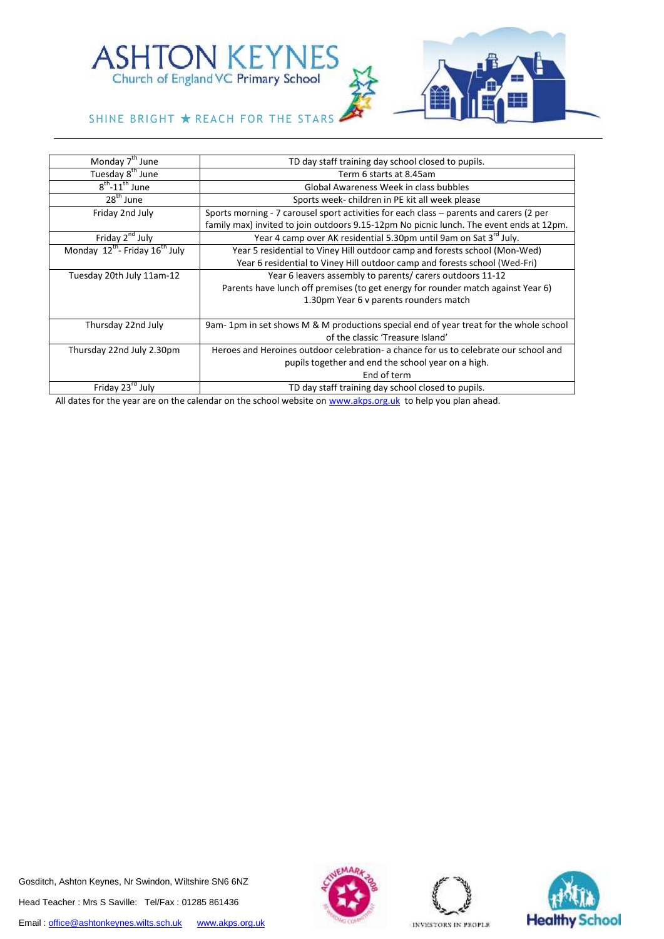

SHINE BRIGHT  $\star$  REACH FOR THE STARS

| Monday 7 <sup>th</sup> June              | TD day staff training day school closed to pupils.                                      |
|------------------------------------------|-----------------------------------------------------------------------------------------|
| Tuesday 8 <sup>th</sup> June             | Term 6 starts at 8.45am                                                                 |
| $8^{\text{th}}$ -11 <sup>th</sup> June   | Global Awareness Week in class bubbles                                                  |
| 28 <sup>th</sup> June                    | Sports week-children in PE kit all week please                                          |
| Friday 2nd July                          | Sports morning - 7 carousel sport activities for each class – parents and carers (2 per |
|                                          | family max) invited to join outdoors 9.15-12pm No picnic lunch. The event ends at 12pm. |
| Friday 2 <sup>nd</sup> July              | Year 4 camp over AK residential 5.30pm until 9am on Sat 3 <sup>rd</sup> July.           |
| Monday $12^{th}$ - Friday $16^{th}$ July | Year 5 residential to Viney Hill outdoor camp and forests school (Mon-Wed)              |
|                                          | Year 6 residential to Viney Hill outdoor camp and forests school (Wed-Fri)              |
| Tuesday 20th July 11am-12                | Year 6 leavers assembly to parents/ carers outdoors 11-12                               |
|                                          | Parents have lunch off premises (to get energy for rounder match against Year 6)        |
|                                          | 1.30pm Year 6 v parents rounders match                                                  |
|                                          |                                                                                         |
| Thursday 22nd July                       | 9am-1pm in set shows M & M productions special end of year treat for the whole school   |
|                                          | of the classic 'Treasure Island'                                                        |
| Thursday 22nd July 2.30pm                | Heroes and Heroines outdoor celebration- a chance for us to celebrate our school and    |
|                                          | pupils together and end the school year on a high.                                      |
|                                          | End of term                                                                             |
| Friday 23rd July                         | TD day staff training day school closed to pupils.                                      |

All dates for the year are on the calendar on the school website on [www.akps.org.uk](http://www.akps.org.uk/) to help you plan ahead.

Gosditch, Ashton Keynes, Nr Swindon, Wiltshire SN6 6NZ Head Teacher : Mrs S Saville: Tel/Fax : 01285 861436 Email[: office@ashtonkeynes.wilts.sch.uk](mailto:office@ashtonkeynes.wilts.sch.uk) [www.akps.org.uk](http://www.akps.org.uk/)